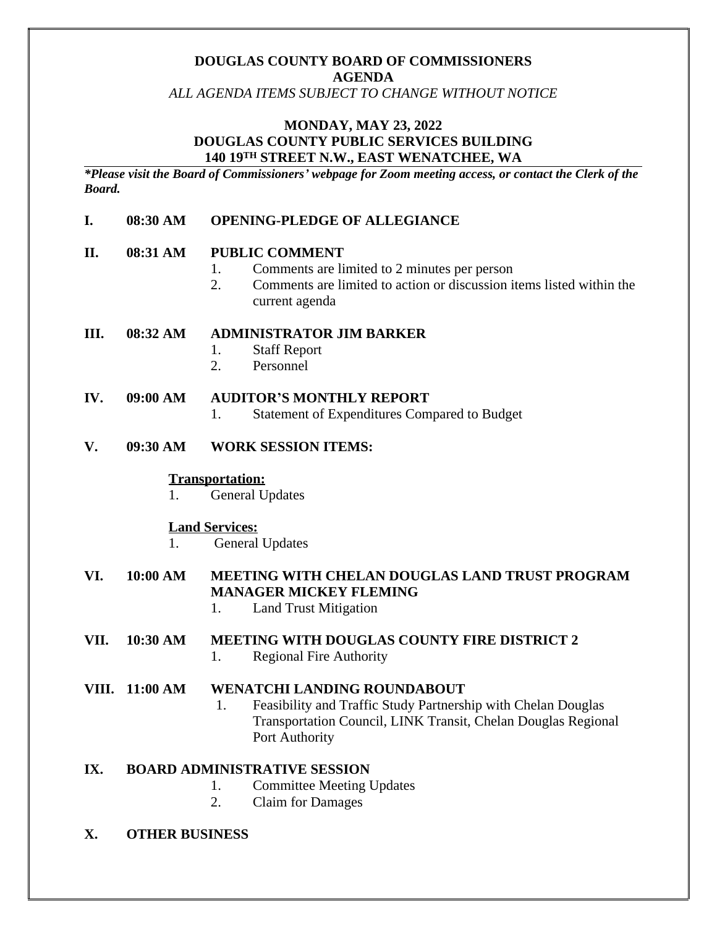# **DOUGLAS COUNTY BOARD OF COMMISSIONERS AGENDA**

*ALL AGENDA ITEMS SUBJECT TO CHANGE WITHOUT NOTICE*

## **MONDAY, MAY 23, 2022 DOUGLAS COUNTY PUBLIC SERVICES BUILDING 140 19TH STREET N.W., EAST WENATCHEE, WA**

*\*Please visit the Board of Commissioners' webpage for Zoom meeting access, or contact the Clerk of the Board.*

### **I. 08:30 AM OPENING-PLEDGE OF ALLEGIANCE**

#### **II. 08:31 AM PUBLIC COMMENT**

- 1. Comments are limited to 2 minutes per person
- 2. Comments are limited to action or discussion items listed within the current agenda

#### **III. 08:32 AM ADMINISTRATOR JIM BARKER**

- 1. Staff Report
- 2. Personnel

#### **IV. 09:00 AM AUDITOR'S MONTHLY REPORT**

1. Statement of Expenditures Compared to Budget

### **V. 09:30 AM WORK SESSION ITEMS:**

#### **Transportation:**

1. General Updates

#### **Land Services:**

1. General Updates

# **VI. 10:00 AM MEETING WITH CHELAN DOUGLAS LAND TRUST PROGRAM MANAGER MICKEY FLEMING**

1. Land Trust Mitigation

# **VII. 10:30 AM MEETING WITH DOUGLAS COUNTY FIRE DISTRICT 2**

1. Regional Fire Authority

#### **VIII. 11:00 AM WENATCHI LANDING ROUNDABOUT**

1. Feasibility and Traffic Study Partnership with Chelan Douglas Transportation Council, LINK Transit, Chelan Douglas Regional Port Authority

### **IX. BOARD ADMINISTRATIVE SESSION**

- 1. Committee Meeting Updates
- 2. Claim for Damages

#### **X. OTHER BUSINESS**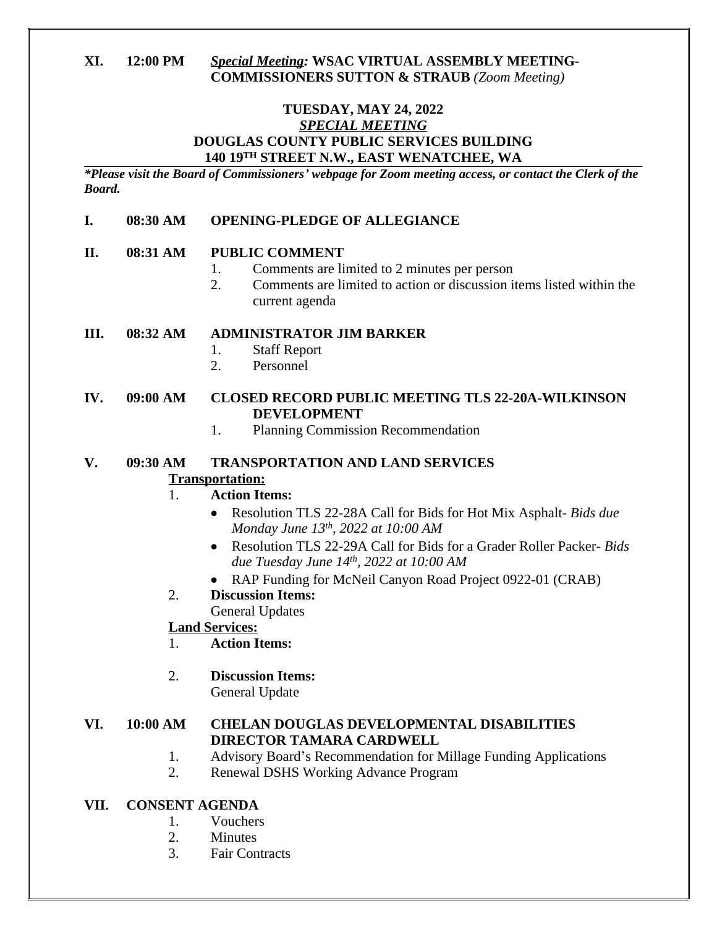# **XI. 12:00 PM** *Special Meeting:* **WSAC VIRTUAL ASSEMBLY MEETING-COMMISSIONERS SUTTON & STRAUB** *(Zoom Meeting)*

# **TUESDAY, MAY 24, 2022** *SPECIAL MEETING* **DOUGLAS COUNTY PUBLIC SERVICES BUILDING 140 19TH STREET N.W., EAST WENATCHEE, WA**

*\*Please visit the Board of Commissioners' webpage for Zoom meeting access, or contact the Clerk of the Board.*

### **I. 08:30 AM OPENING-PLEDGE OF ALLEGIANCE**

### **II. 08:31 AM PUBLIC COMMENT**

- 1. Comments are limited to 2 minutes per person
- 2. Comments are limited to action or discussion items listed within the current agenda

### **III. 08:32 AM ADMINISTRATOR JIM BARKER**

- 1. Staff Report
- 2. Personnel

### **IV. 09:00 AM CLOSED RECORD PUBLIC MEETING TLS 22-20A-WILKINSON DEVELOPMENT**

1. Planning Commission Recommendation

# **V. 09:30 AM TRANSPORTATION AND LAND SERVICES**

### **Transportation:**

# 1. **Action Items:**

- Resolution TLS 22-28A Call for Bids for Hot Mix Asphalt- *Bids due Monday June 13th, 2022 at 10:00 AM*
- Resolution TLS 22-29A Call for Bids for a Grader Roller Packer- *Bids due Tuesday June 14th, 2022 at 10:00 AM*
- RAP Funding for McNeil Canyon Road Project 0922-01 (CRAB)
- 2. **Discussion Items:** General Updates

# **Land Services:**

- 1. **Action Items:**
- 2. **Discussion Items:**
	- General Update

# **VI. 10:00 AM CHELAN DOUGLAS DEVELOPMENTAL DISABILITIES DIRECTOR TAMARA CARDWELL**

- 1. Advisory Board's Recommendation for Millage Funding Applications
- 2. Renewal DSHS Working Advance Program

# **VII. CONSENT AGENDA**

- 1. Vouchers
- 2. Minutes
- 3. Fair Contracts